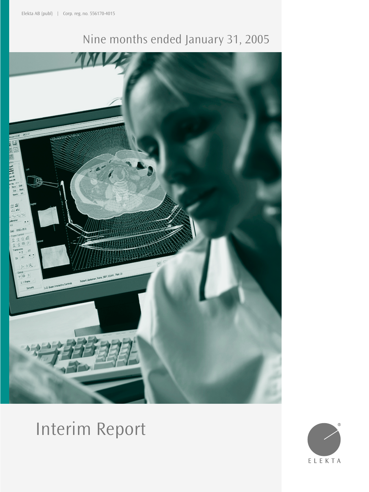# Nine months ended January 31, 2005



# Interim Report

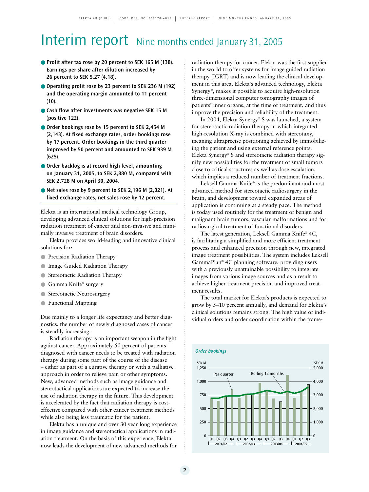# Interim report Nine months ended January 31, 2005

- **Profit after tax rose by 20 percent to SEK 165 M (138). Earnings per share after dilution increased by 26 percent to SEK 5.27 (4.18).**
- **Operating profit rose by 23 percent to SEK 236 M (192) and the operating margin amounted to 11 percent**  $(10).$
- **Cash flow after investments was negative SEK 15 M (positive 122).**
- **Order bookings rose by 15 percent to SEK 2,454 M (2,143). At fixed exchange rates, order bookings rose by 17 percent. Order bookings in the third quarter improved by 50 percent and amounted to SEK 939 M (625).**
- **Order backlog is at record high level, amounting on January 31, 2005, to SEK 2,880 M, compared with SEK 2,728 M on April 30, 2004.**
- **Net sales rose by 9 percent to SEK 2,196 M (2,021). At fixed exchange rates, net sales rose by 12 percent.**

Elekta is an international medical technology Group, developing advanced clinical solutions for high-precision radiation treatment of cancer and non-invasive and minimally invasive treatment of brain disorders.

Elekta provides world-leading and innovative clinical solutions for:

- Precision Radiation Therapy
- Image Guided Radiation Therapy
- **Stereotactic Radiation Therapy**
- Gamma Knife® surgery
- Stereotactic Neurosurgery
- Functional Mapping

Due mainly to a longer life expectancy and better diagnostics, the number of newly diagnosed cases of cancer is steadily increasing.

Radiation therapy is an important weapon in the fight against cancer. Approximately 50 percent of patients diagnosed with cancer needs to be treated with radiation therapy during some part of the course of the disease – either as part of a curative therapy or with a palliative approach in order to relieve pain or other symptoms. New, advanced methods such as image guidance and stereotactical applications are expected to increase the use of radiation therapy in the future. This development is accelerated by the fact that radiation therapy is costeffective compared with other cancer treatment methods while also being less traumatic for the patient.

Elekta has a unique and over 30 year long experience in image guidance and stereotactical applications in radiation treatment. On the basis of this experience, Elekta now leads the development of new advanced methods for radiation therapy for cancer. Elekta was the first supplier in the world to offer systems for image guided radiation therapy (IGRT) and is now leading the clinical development in this area. Elekta's advanced technology, Elekta Synergy®, makes it possible to acquire high-resolution three-dimensional computer tomography images of patients' inner organs, at the time of treatment, and thus improve the precision and reliability of the treatment.

In 2004, Elekta Synergy® S was launched, a system for stereotactic radiation therapy in which integrated high-resolution X-ray is combined with stereotaxy, meaning ultraprecise positioning achieved by immobilizing the patient and using external reference points. Elekta Synergy® S and stereotactic radiation therapy signify new possibilities for the treatment of small tumors close to critical structures as well as dose escalation, which implies a reduced number of treatment fractions.

Leksell Gamma Knife® is the predominant and most advanced method for stereotactic radiosurgery in the brain, and development toward expanded areas of application is continuing at a steady pace. The method is today used routinely for the treatment of benign and malignant brain tumors, vascular malformations and for radiosurgical treatment of functional disorders.

The latest generation, Leksell Gamma Knife® 4C, is facilitating a simplified and more efficient treatment process and enhanced precision through new, integrated image treatment possibilities. The system includes Leksell GammaPlan® 4C planning software, providing users with a previously unattainable possibility to integrate images from various image sources and as a result to achieve higher treatment precision and improved treatment results.

The total market for Elekta's products is expected to grow by 5–10 percent annually, and demand for Elekta's clinical solutions remains strong. The high value of individual orders and order coordination within the frame-

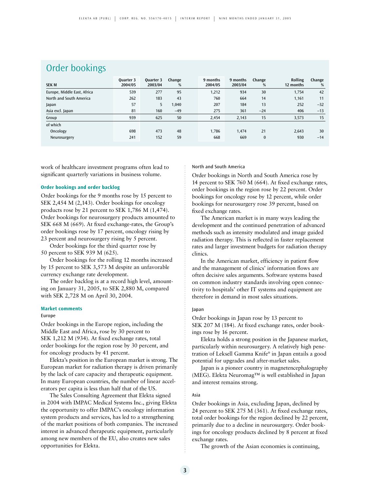## Order bookings

| <b>SEK M</b>                | Ouarter 3<br>2004/05 | Quarter 3<br>2003/04 | Change<br>% | 9 months<br>2004/05 | 9 months<br>2003/04 | Change<br>% | <b>Rolling</b><br>12 months | Change<br>% |
|-----------------------------|----------------------|----------------------|-------------|---------------------|---------------------|-------------|-----------------------------|-------------|
| Europe, Middle East, Africa | 539                  | 277                  | 95          | 1,212               | 934                 | 30          | 1,754                       | 42          |
| North and South America     | 262                  | 183                  | 43          | 760                 | 664                 | 14          | 1,161                       | 11          |
| Japan                       | 57                   | 5.                   | 1,040       | 207                 | 184                 | 13          | 252                         | $-32$       |
| Asia excl. Japan            | 81                   | 160                  | $-49$       | 275                 | 361                 | $-24$       | 406                         | $-13$       |
| Group                       | 939                  | 625                  | 50          | 2,454               | 2,143               | 15          | 3,573                       | 15          |
| of which                    |                      |                      |             |                     |                     |             |                             |             |
| Oncology                    | 698                  | 473                  | 48          | 1,786               | 1,474               | 21          | 2,643                       | 30          |
| Neurosurgery                | 241                  | 152                  | 59          | 668                 | 669                 | 0           | 930                         | $-14$       |

work of healthcare investment programs often lead to significant quarterly variations in business volume.

## **Order bookings and order backlog**

Order bookings for the 9 months rose by 15 percent to SEK 2,454 M (2,143). Order bookings for oncology products rose by 21 percent to SEK 1,786 M (1,474). Order bookings for neurosurgery products amounted to SEK 668 M (669). At fixed exchange-rates, the Group's order bookings rose by 17 percent, oncology rising by 23 percent and neurosurgery rising by 5 percent.

Order bookings for the third quarter rose by 50 percent to SEK 939 M (625).

Order bookings for the rolling 12 months increased by 15 percent to SEK 3,573 M despite an unfavorable currency exchange rate development.

The order backlog is at a record high level, amounting on January 31, 2005, to SEK 2,880 M, compared with SEK 2,728 M on April 30, 2004.

### **Market comments**

#### Europe

Order bookings in the Europe region, including the Middle East and Africa, rose by 30 percent to SEK 1,212 M (934). At fixed exchange rates, total order bookings for the region rose by 30 percent, and for oncology products by 41 percent.

Elekta's position in the European market is strong. The European market for radiation therapy is driven primarily by the lack of care capacity and therapeutic equipment. In many European countries, the number of linear accelerators per capita is less than half that of the US.

The Sales Consulting Agreement that Elekta signed in 2004 with IMPAC Medical Systems Inc., giving Elekta the opportunity to offer IMPAC's oncology information system products and services, has led to a strengthening of the market positions of both companies. The increased interest in advanced therapeutic equipment, particularly among new members of the EU, also creates new sales opportunities for Elekta.

North and South America

Order bookings in North and South America rose by 14 percent to SEK 760 M (664). At fixed exchange rates, order bookings in the region rose by 22 percent. Order bookings for oncology rose by 12 percent, while order bookings for neurosurgery rose 39 percent, based on fixed exchange rates.

The American market is in many ways leading the development and the continued penetration of advanced methods such as intensity modulated and image guided radiation therapy. This is reflected in faster replacement rates and larger investment budgets for radiation therapy clinics.

In the American market, efficiency in patient flow and the management of clinics' information flows are often decisive sales arguments. Software systems based on common industry standards involving open connectivity to hospitals' other IT systems and equipment are therefore in demand in most sales situations.

#### Japan

Order bookings in Japan rose by 13 percent to SEK 207 M (184). At fixed exchange rates, order bookings rose by 16 percent.

Elekta holds a strong position in the Japanese market, particularly within neurosurgery. A relatively high penetration of Leksell Gamma Knife® in Japan entails a good potential for upgrades and after-market sales.

Japan is a pioneer country in magnetencephalography (MEG). Elekta Neuromag™ is well established in Japan and interest remains strong.

## Asia

Order bookings in Asia, excluding Japan, declined by 24 percent to SEK 275 M (361). At fixed exchange rates, total order bookings for the region declined by 22 percent, primarily due to a decline in neurosurgery. Order bookings for oncology products declined by 8 percent at fixed exchange rates.

The growth of the Asian economies is continuing,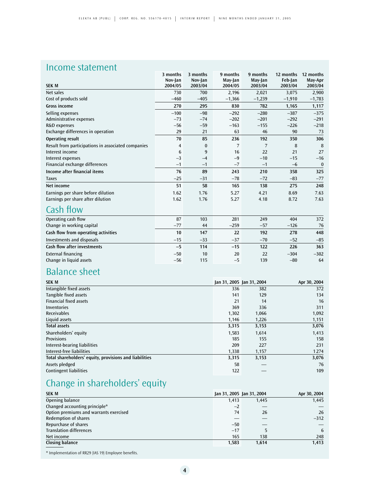## Income statement

|                                                    | 3 months       | 3 months | 9 months | 9 months | 12 months | 12 months |
|----------------------------------------------------|----------------|----------|----------|----------|-----------|-----------|
|                                                    | Nov-Jan        | Nov-Jan  | May-Jan  | May-Jan  | Feb-Jan   | May-Apr   |
| <b>SEK M</b>                                       | 2004/05        | 2003/04  | 2004/05  | 2003/04  | 2003/04   | 2003/04   |
| Net sales                                          | 730            | 700      | 2,196    | 2,021    | 3.075     | 2,900     |
| Cost of products sold                              | $-460$         | $-405$   | $-1,366$ | $-1,239$ | $-1,910$  | $-1,783$  |
| <b>Gross income</b>                                | 270            | 295      | 830      | 782      | 1,165     | 1,117     |
| Selling expenses                                   | $-100$         | $-98$    | $-292$   | $-280$   | $-387$    | $-375$    |
| Administrative expenses                            | $-73$          | $-74$    | $-202$   | $-201$   | $-292$    | $-291$    |
| R&D expenses                                       | $-56$          | $-59$    | $-163$   | $-155$   | $-226$    | $-218$    |
| Exchange differences in operation                  | 29             | 21       | 63       | 46       | 90        | 73        |
| Operating result                                   | 70             | 85       | 236      | 192      | 350       | 306       |
| Result from participations in associated companies | $\overline{4}$ | $\bf{0}$ | 7        | 7        | 8         | 8         |
| Interest income                                    | 6              | 9        | 16       | 22       | 21        | 27        |
| Interest expenses                                  | $-3$           | $-4$     | $-9$     | $-10$    | $-15$     | $-16$     |
| Financial exchange differences                     | $-1$           | $-1$     | $-7$     | $-1$     | $-6$      | $\bf{0}$  |
| Income after financial items                       | 76             | 89       | 243      | 210      | 358       | 325       |
| <b>Taxes</b>                                       | $-25$          | $-31$    | $-78$    | $-72$    | $-83$     | $-77$     |
| Net income                                         | 51             | 58       | 165      | 138      | 275       | 248       |
| Earnings per share before dilution                 | 1.62           | 1.76     | 5.27     | 4.21     | 8.69      | 7.63      |
| Earnings per share after dilution                  | 1.62           | 1.76     | 5.27     | 4.18     | 8.72      | 7.63      |
| Cash flow                                          |                |          |          |          |           |           |
| Operating cash flow                                | 87             | 103      | 281      | 249      | 404       | 372       |
| Change in working capital                          | $-77$          | 44       | $-259$   | $-57$    | $-126$    | 76        |
| Cash flow from operating activities                | 10             | 147      | 22       | 192      | 278       | 448       |
| Investments and disposals                          | $-15$          | $-33$    | $-37$    | $-70$    | $-52$     | $-85$     |
| <b>Cash flow after investments</b>                 | $-5$           | 114      | $-15$    | $122$    | 226       | 363       |
| <b>External financing</b>                          | $-50$          | 10       | 20       | 22       | $-304$    | $-302$    |
| Change in liquid assets                            | $-56$          | 115      | $-5$     | 139      | $-80$     | 64        |

# Balance sheet

| <b>SEK M</b>                                           | Jan 31, 2005 Jan 31, 2004 |       | Apr 30, 2004 |
|--------------------------------------------------------|---------------------------|-------|--------------|
| Intangible fixed assets                                | 336                       | 382   | 372          |
| Tangible fixed assets                                  | 141                       | 129   | 134          |
| <b>Financial fixed assets</b>                          | 21                        | 14    | 16           |
| Inventories                                            | 369                       | 336   | 311          |
| <b>Receivables</b>                                     | 1,302                     | 1,066 | 1,092        |
| Liquid assets                                          | 1,146                     | 1,226 | 1,151        |
| <b>Total assets</b>                                    | 3,315                     | 3,153 | 3,076        |
| Shareholders' equity                                   | 1,583                     | 1,614 | 1,413        |
| <b>Provisions</b>                                      | 185                       | 155   | 158          |
| Interest-bearing liabilities                           | 209                       | 227   | 231          |
| Interest-free liabilities                              | 1,338                     | 1,157 | 1274         |
| Total shareholders' equity, provisions and liabilities | 3,315                     | 3,153 | 3,076        |
| Assets pledged                                         | 58                        |       | 76           |
| <b>Contingent liabilities</b>                          | 122                       |       | 109          |

# Change in shareholders' equity

| <b>SEK M</b>                           | Jan 31, 2005 Jan 31, 2004 |       | Apr 30, 2004 |
|----------------------------------------|---------------------------|-------|--------------|
| Opening balance                        | 1.413                     | 1.445 | 1,445        |
| Changed accounting principle*          | $-2$                      |       |              |
| Option premiums and warrants exercised | 74                        | 26    | 26           |
| <b>Redemption of shares</b>            |                           |       | $-312$       |
| Repurchase of shares                   | $-50$                     |       |              |
| <b>Translation differences</b>         | $-17$                     |       | 6            |
| Net income                             | 165                       | 138   | 248          |
| Closing balance                        | 1,583                     | 1.614 | 1,413        |

\* Implementation of RR29 (IAS 19) Employee benefits.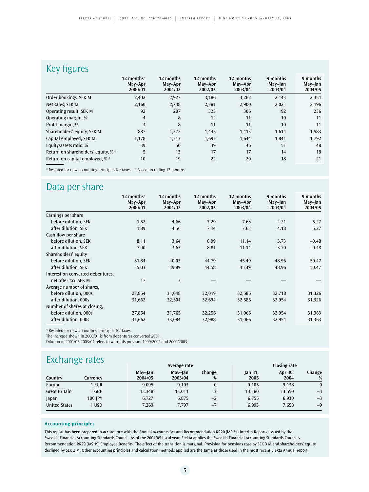## Key figures

|                                                   | $12$ months <sup>1)</sup><br>May-Apr<br>2000/01 | 12 months<br>May-Apr<br>2001/02 | 12 months<br>May-Apr<br>2002/03 | 12 months<br>May-Apr<br>2003/04 | 9 months<br>May-Jan<br>2003/04 | 9 months<br>May-Jan<br>2004/05 |
|---------------------------------------------------|-------------------------------------------------|---------------------------------|---------------------------------|---------------------------------|--------------------------------|--------------------------------|
| Order bookings, SEK M                             | 2,402                                           | 2,927                           | 3,186                           | 3,262                           | 2,143                          | 2,454                          |
| Net sales, SEK M                                  | 2,160                                           | 2,738                           | 2,781                           | 2,900                           | 2,021                          | 2,196                          |
| Operating result, SEK M                           | 92                                              | 207                             | 323                             | 306                             | 192                            | 236                            |
| Operating margin, %                               | $\overline{4}$                                  | 8                               | 12                              | 11                              | 10                             | 11                             |
| Profit margin, %                                  | 3                                               | 8                               | 11                              | 11                              | 10                             | 11                             |
| Shareholders' equity, SEK M                       | 887                                             | 1,272                           | 1,445                           | 1,413                           | 1,614                          | 1,583                          |
| Capital employed, SEK M                           | 1.178                                           | 1,313                           | 1,697                           | 1.644                           | 1.841                          | 1,792                          |
| Equity/assets ratio, %                            | 39                                              | 50                              | 49                              | 46                              | 51                             | 48                             |
| Return on shareholders' equity, $%$ <sup>2)</sup> | 5                                               | 13                              | 17                              | 17                              | 14                             | 18                             |
| Return on capital employed, $%$ <sup>2)</sup>     | 10                                              | 19                              | 22                              | 20                              | 18                             | 21                             |

 $1)$  Restated for new accounting principles for taxes.  $2)$  Based on rolling 12 months.

## Data per share

|                                   | 12 months <sup>1)</sup><br>May-Apr | 12 months<br>May-Apr | 12 months<br>May-Apr | 12 months<br>May-Apr | 9 months<br>May-Jan | 9 months<br>May-Jan |
|-----------------------------------|------------------------------------|----------------------|----------------------|----------------------|---------------------|---------------------|
|                                   | 2000/01                            | 2001/02              | 2002/03              | 2003/04              | 2003/04             | 2004/05             |
| Earnings per share                |                                    |                      |                      |                      |                     |                     |
| before dilution, SEK              | 1.52                               | 4.66                 | 7.29                 | 7.63                 | 4.21                | 5.27                |
| after dilution, SEK               | 1.89                               | 4.56                 | 7.14                 | 7.63                 | 4.18                | 5.27                |
| Cash flow per share               |                                    |                      |                      |                      |                     |                     |
| before dilution, SEK              | 8.11                               | 3.64                 | 8.99                 | 11.14                | 3.73                | $-0.48$             |
| after dilution, SEK               | 7.90                               | 3.63                 | 8.81                 | 11.14                | 3.70                | $-0.48$             |
| Shareholders' equity              |                                    |                      |                      |                      |                     |                     |
| before dilution, SEK              | 31.84                              | 40.03                | 44.79                | 45.49                | 48.96               | 50.47               |
| after dilution, SEK               | 35.03                              | 39.89                | 44.58                | 45.49                | 48.96               | 50.47               |
| Interest on converted debentures, |                                    |                      |                      |                      |                     |                     |
| net after tax, SEK M              | 17                                 | 3                    |                      |                      |                     |                     |
| Average number of shares,         |                                    |                      |                      |                      |                     |                     |
| before dilution, 000s             | 27,854                             | 31,048               | 32,019               | 32,585               | 32,718              | 31,326              |
| after dilution, 000s              | 31,662                             | 32,504               | 32,694               | 32,585               | 32,954              | 31,326              |
| Number of shares at closing,      |                                    |                      |                      |                      |                     |                     |
| before dilution, 000s             | 27,854                             | 31,765               | 32,256               | 31,066               | 32,954              | 31,363              |
| after dilution, 000s              | 31,662                             | 33,084               | 32,988               | 31,066               | 32,954              | 31,363              |

<sup>1)</sup> Restated for new accounting principles for taxes.

The increase shown in 2000/01 is from debentures converted 2001.

Dilution in 2001/02-2003/04 refers to warrants program 1999/2002 and 2000/2003.

## **Exchange rates**

|                      |          |                    | Average rate       |              | <b>Closing rate</b> |                 |              |  |
|----------------------|----------|--------------------|--------------------|--------------|---------------------|-----------------|--------------|--|
| Country              | Currencv | May-Jan<br>2004/05 | May-Jan<br>2003/04 | Change<br>%  | Jan 31,<br>2005     | Apr 30,<br>2004 | Change<br>%  |  |
| Europe               | 1 EUR    | 9.095              | 9.103              | $\mathbf{0}$ | 9.105               | 9.138           | $\mathbf{0}$ |  |
| <b>Great Britain</b> | 1 GBP    | 13.348             | 13.011             |              | 13.180              | 13.550          | $-3$         |  |
| Japan                | 100 IPY  | 6.727              | 6.875              | $-2$         | 6.755               | 6.930           | $-3$         |  |
| <b>United States</b> | 1 USD    | 7.269              | 7.797              | $-7$         | 6.993               | 7.658           | $-9$         |  |

## **Accounting principles**

This report has been prepared in accordance with the Annual Accounts Act and Recommendation RR20 (IAS 34) Interim Reports, issued by the Swedish Financial Accounting Standards Council. As of the 2004/05 fiscal year, Elekta applies the Swedish Financial Accounting Standards Council's Recommendation RR29 (IAS 19) Employee Benefits. The effect of the transition is marginal. Provision for pensions rose by SEK 3 M and shareholders' equity declined by SEK 2 M. Other accounting principles and calculation methods applied are the same as those used in the most recent Elekta Annual report.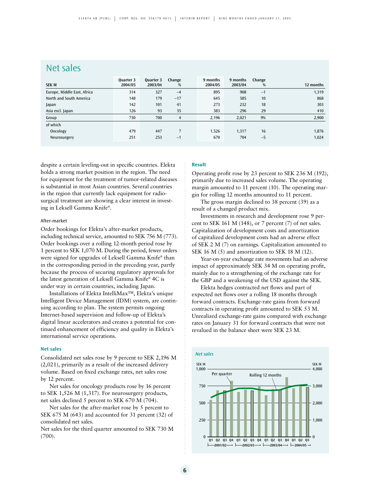## Net sales

|                             | Ouarter 3 | Quarter 3 | Change         | 9 months | 9 months | Change |           |
|-----------------------------|-----------|-----------|----------------|----------|----------|--------|-----------|
| SEK M                       | 2004/05   | 2003/04   | %              | 2004/05  | 2003/04  | %      | 12 months |
| Europe, Middle East, Africa | 314       | 327       | $-4$           | 895      | 908      | $-1$   | 1,319     |
| North and South America     | 148       | 179       | $-17$          | 645      | 585      | 10     | 868       |
| Japan                       | 142       | 101       | 41             | 273      | 232      | 18     | 303       |
| Asia excl. Japan            | 126       | 93        | 35             | 383      | 296      | 29     | 410       |
| Group                       | 730       | 700       | $\overline{4}$ | 2,196    | 2,021    | 9%     | 2,900     |
| of which                    |           |           |                |          |          |        |           |
| Oncology                    | 479       | 447       |                | 1,526    | 1,317    | 16     | 1,876     |
| Neurosurgery                | 251       | 253       | $-1$           | 670      | 704      | $-5$   | 1,024     |

despite a certain leveling-out in specific countries. Elekta holds a strong market position in the region. The need for equipment for the treatment of tumor-related diseases is substantial in most Asian countries. Several countries in the region that currently lack equipment for radiosurgical treatment are showing a clear interest in investing in Leksell Gamma Knife®.

## After-market

Order bookings for Elekta's after-market products, including technical service, amounted to SEK 756 M (773). Order bookings over a rolling 12-month period rose by 1 percent to SEK 1,070 M. During the period, fewer orders were signed for upgrades of Leksell Gamma Knife® than in the corresponding period in the preceding year, partly because the process of securing regulatory approvals for the latest generation of Leksell Gamma Knife® 4C is under way in certain countries, including Japan.

Installations of Elekta IntelliMax™, Elekta's unique Intelligent Device Management (IDM) system, are continuing according to plan. The system permits ongoing Internet-based supervision and follow-up of Elekta's digital linear accelerators and creates a potential for continued enhancement of efficiency and quality in Elekta's international service operations.

#### **Net sales**

Consolidated net sales rose by 9 percent to SEK 2,196 M (2,021), primarily as a result of the increased delivery volume. Based on fixed exchange rates, net sales rose by 12 percent.

Net sales for oncology products rose by 16 percent to SEK 1,526 M (1,317). For neurosurgery products, net sales declined 5 percent to SEK 670 M (704).

Net sales for the after-market rose by 5 percent to SEK 675 M (643) and accounted for 31 percent (32) of consolidated net sales.

Net sales for the third quarter amounted to SEK 730 M (700).

## **Result**

Operating profit rose by 23 percent to SEK 236 M (192), primarily due to increased sales volume. The operating margin amounted to 11 percent (10). The operating margin for rolling 12 months amounted to 11 percent.

The gross margin declined to 38 percent (39) as a result of a changed product mix.

Investments in research and development rose 9 percent to SEK 161 M (148), or 7 percent (7) of net sales. Capitalization of development costs and amortization of capitalized development costs had an adverse effect of SEK 2 M (7) on earnings. Capitalization amounted to SEK 16 M (5) and amortization to SEK 18 M (12).

Year-on-year exchange rate movements had an adverse impact of approximately SEK 34 M on operating profit, mainly due to a strengthening of the exchange rate for the GBP and a weakening of the USD against the SEK.

Elekta hedges contracted net flows and part of expected net flows over a rolling 18 months through forward contracts. Exchange-rate gains from forward contracts in operating profit amounted to SEK 53 M. Unrealized exchange-rate gains compared with exchange rates on January 31 for forward contracts that were not revalued in the balance sheet were SEK 23 M.

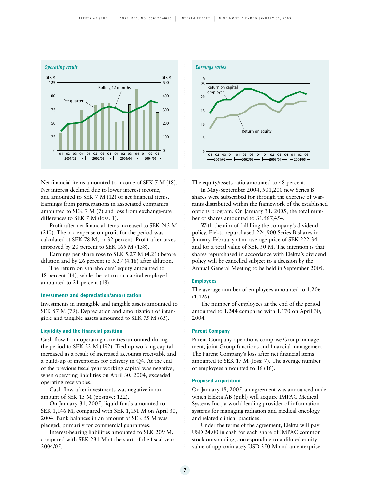

Net financial items amounted to income of SEK 7 M (18). Net interest declined due to lower interest income, and amounted to SEK 7 M (12) of net financial items. Earnings from participations in associated companies amounted to SEK 7 M (7) and loss from exchange-rate differences to SEK 7 M (loss: 1).

Profit after net financial items increased to SEK 243 M (210). The tax expense on profit for the period was calculated at SEK 78 M, or 32 percent. Profit after taxes improved by 20 percent to SEK 165 M (138).

Earnings per share rose to SEK 5.27 M (4.21) before dilution and by 26 percent to 5.27 (4.18) after dilution.

The return on shareholders' equity amounted to 18 percent (14), while the return on capital employed amounted to 21 percent (18).

## **Investments and depreciation/amortization**

Investments in intangible and tangible assets amounted to SEK 57 M (79). Depreciation and amortization of intangible and tangible assets amounted to SEK 75 M (65).

## **Liquidity and the financial position**

Cash flow from operating activities amounted during the period to SEK 22 M (192). Tied-up working capital increased as a result of increased accounts receivable and a build-up of inventories for delivery in Q4. At the end of the previous fiscal year working capital was negative, when operating liabilities on April 30, 2004, exceeded operating receivables.

Cash flow after investments was negative in an amount of SEK 15 M (positive: 122).

On January 31, 2005, liquid funds amounted to SEK 1,146 M, compared with SEK 1,151 M on April 30, 2004. Bank balances in an amount of SEK 55 M was pledged, primarily for commercial guarantees.

Interest-bearing liabilities amounted to SEK 209 M, compared with SEK 231 M at the start of the fiscal year 2004/05.



The equity/assets ratio amounted to 48 percent.

In May-September 2004, 501,200 new Series B shares were subscribed for through the exercise of warrants distributed within the framework of the established options program. On January 31, 2005, the total number of shares amounted to 31,567,454.

With the aim of fulfilling the company's dividend policy, Elekta repurchased 224,900 Series B shares in January-February at an average price of SEK 222.34 and for a total value of SEK 50 M. The intention is that shares repurchased in accordance with Elekta's dividend policy will be cancelled subject to a decision by the Annual General Meeting to be held in September 2005.

## **Employees**

The average number of employees amounted to 1,206 (1,126).

The number of employees at the end of the period amounted to 1,244 compared with 1,170 on April 30, 2004.

#### **Parent Company**

Parent Company operations comprise Group management, joint Group functions and financial management. The Parent Company's loss after net financial items amounted to SEK 17 M (loss: 7). The average number of employees amounted to 16 (16).

## **Proposed acquisition**

On January 18, 2005, an agreement was announced under which Elekta AB (publ) will acquire IMPAC Medical Systems Inc., a world leading provider of information systems for managing radiation and medical oncology and related clinical practices.

Under the terms of the agreement, Elekta will pay USD 24.00 in cash for each share of IMPAC common stock outstanding, corresponding to a diluted equity value of approximately USD 250 M and an enterprise